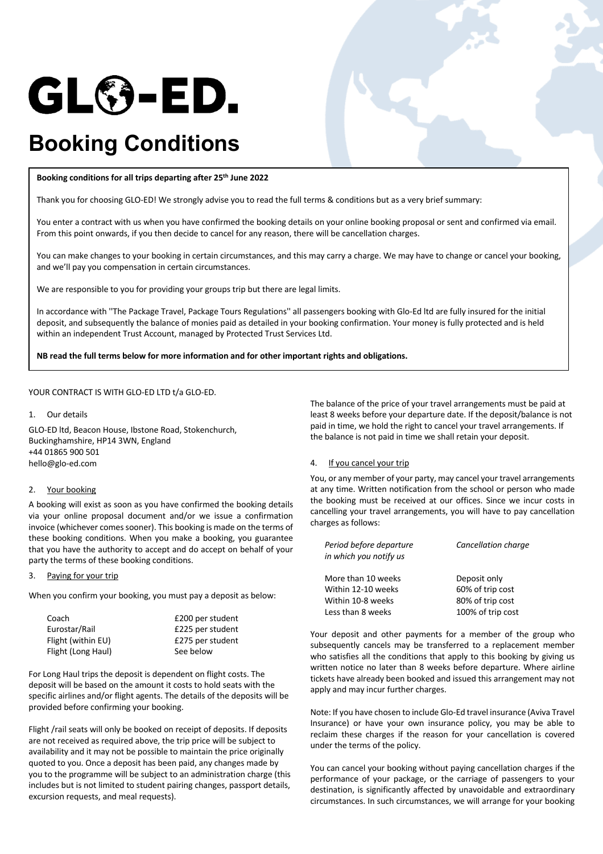# GL<sup>®</sup>-ED.

## **Booking Conditions**

### **Booking conditions for all trips departing after 25th June 2022**

Thank you for choosing GLO-ED! We strongly advise you to read the full terms & conditions but as a very brief summary:

You enter a contract with us when you have confirmed the booking details on your online booking proposal or sent and confirmed via email. From this point onwards, if you then decide to cancel for any reason, there will be cancellation charges.

You can make changes to your booking in certain circumstances, and this may carry a charge. We may have to change or cancel your booking, and we'll pay you compensation in certain circumstances.

We are responsible to you for providing your groups trip but there are legal limits.

In accordance with ''The Package Travel, Package Tours Regulations'' all passengers booking with Glo-Ed ltd are fully insured for the initial deposit, and subsequently the balance of monies paid as detailed in your booking confirmation. Your money is fully protected and is held within an independent Trust Account, managed by Protected Trust Services Ltd.

**NB read the full terms below for more information and for other important rights and obligations.**

### YOUR CONTRACT IS WITH GLO-ED LTD t/a GLO-ED.

1. Our details

GLO-ED ltd, Beacon House, Ibstone Road, Stokenchurch, Buckinghamshire, HP14 3WN, England +44 01865 900 501 hello@glo-ed.com

#### 2. Your booking

A booking will exist as soon as you have confirmed the booking details via your online proposal document and/or we issue a confirmation invoice (whichever comes sooner). This booking is made on the terms of these booking conditions. When you make a booking, you guarantee that you have the authority to accept and do accept on behalf of your party the terms of these booking conditions.

#### 3. Paying for your trip

When you confirm your booking, you must pay a deposit as below:

| Coach              | £200 per student |
|--------------------|------------------|
| Eurostar/Rail      | £225 per student |
| Flight (within EU) | £275 per student |
| Flight (Long Haul) | See below        |

For Long Haul trips the deposit is dependent on flight costs. The deposit will be based on the amount it costs to hold seats with the specific airlines and/or flight agents. The details of the deposits will be provided before confirming your booking.

Flight /rail seats will only be booked on receipt of deposits. If deposits are not received as required above, the trip price will be subject to availability and it may not be possible to maintain the price originally quoted to you. Once a deposit has been paid, any changes made by you to the programme will be subject to an administration charge (this includes but is not limited to student pairing changes, passport details, excursion requests, and meal requests).

The balance of the price of your travel arrangements must be paid at least 8 weeks before your departure date. If the deposit/balance is not paid in time, we hold the right to cancel your travel arrangements. If the balance is not paid in time we shall retain your deposit.

#### 4. If you cancel your trip

You, or any member of your party, may cancel your travel arrangements at any time. Written notification from the school or person who made the booking must be received at our offices. Since we incur costs in cancelling your travel arrangements, you will have to pay cancellation charges as follows:

| Period before departure<br>in which you notify us | Cancellation charge |
|---------------------------------------------------|---------------------|
| More than 10 weeks                                | Deposit only        |
| Within 12-10 weeks                                | 60% of trip cost    |
| Within 10-8 weeks                                 | 80% of trip cost    |
| Less than 8 weeks                                 | 100% of trip cost   |

Your deposit and other payments for a member of the group who subsequently cancels may be transferred to a replacement member who satisfies all the conditions that apply to this booking by giving us written notice no later than 8 weeks before departure. Where airline tickets have already been booked and issued this arrangement may not apply and may incur further charges.

Note: If you have chosen to include Glo-Ed travel insurance (Aviva Travel Insurance) or have your own insurance policy, you may be able to reclaim these charges if the reason for your cancellation is covered under the terms of the policy.

You can cancel your booking without paying cancellation charges if the performance of your package, or the carriage of passengers to your destination, is significantly affected by unavoidable and extraordinary circumstances. In such circumstances, we will arrange for your booking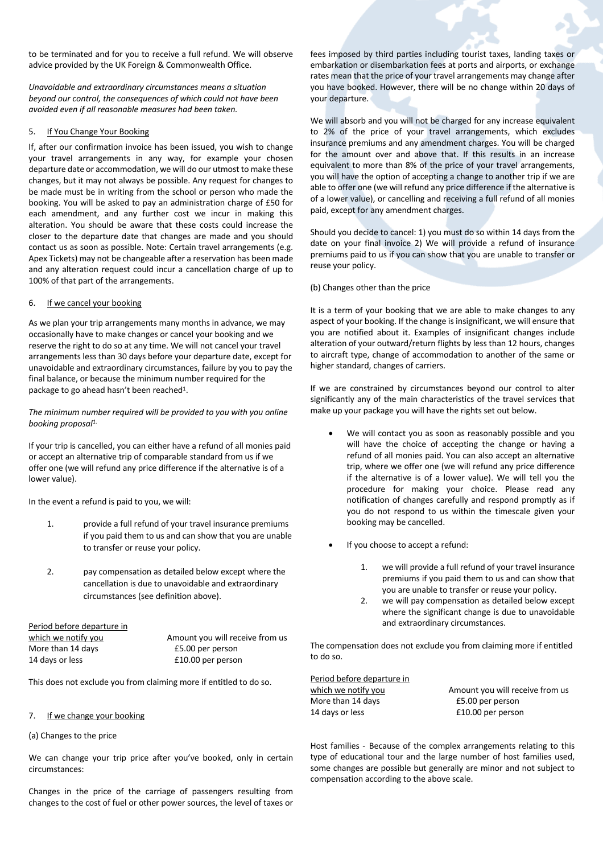to be terminated and for you to receive a full refund. We will observe advice provided by the UK Foreign & Commonwealth Office.

*Unavoidable and extraordinary circumstances means a situation beyond our control, the consequences of which could not have been avoided even if all reasonable measures had been taken.*

#### 5. If You Change Your Booking

If, after our confirmation invoice has been issued, you wish to change your travel arrangements in any way, for example your chosen departure date or accommodation, we will do our utmost to make these changes, but it may not always be possible. Any request for changes to be made must be in writing from the school or person who made the booking. You will be asked to pay an administration charge of £50 for each amendment, and any further cost we incur in making this alteration. You should be aware that these costs could increase the closer to the departure date that changes are made and you should contact us as soon as possible. Note: Certain travel arrangements (e.g. Apex Tickets) may not be changeable after a reservation has been made and any alteration request could incur a cancellation charge of up to 100% of that part of the arrangements.

#### 6. If we cancel your booking

As we plan your trip arrangements many months in advance, we may occasionally have to make changes or cancel your booking and we reserve the right to do so at any time. We will not cancel your travel arrangements less than 30 days before your departure date, except for unavoidable and extraordinary circumstances, failure by you to pay the final balance, or because the minimum number required for the package to go ahead hasn't been reached1.

#### *The minimum number required will be provided to you with you online booking proposal1.*

If your trip is cancelled, you can either have a refund of all monies paid or accept an alternative trip of comparable standard from us if we offer one (we will refund any price difference if the alternative is of a lower value).

In the event a refund is paid to you, we will:

- 1. provide a full refund of your travel insurance premiums if you paid them to us and can show that you are unable to transfer or reuse your policy.
- 2. pay compensation as detailed below except where the cancellation is due to unavoidable and extraordinary circumstances (see definition above).

Period before departure in More than 14 days E5.00 per person 14 days or less <br>
E10.00 per person

which we notify you and amount you will receive from us

This does not exclude you from claiming more if entitled to do so.

#### 7. If we change your booking

#### (a) Changes to the price

We can change your trip price after you've booked, only in certain circumstances:

Changes in the price of the carriage of passengers resulting from changes to the cost of fuel or other power sources, the level of taxes or fees imposed by third parties including tourist taxes, landing taxes or embarkation or disembarkation fees at ports and airports, or exchange rates mean that the price of your travel arrangements may change after you have booked. However, there will be no change within 20 days of your departure.

We will absorb and you will not be charged for any increase equivalent to 2% of the price of your travel arrangements, which excludes insurance premiums and any amendment charges. You will be charged for the amount over and above that. If this results in an increase equivalent to more than 8% of the price of your travel arrangements, you will have the option of accepting a change to another trip if we are able to offer one (we will refund any price difference if the alternative is of a lower value), or cancelling and receiving a full refund of all monies paid, except for any amendment charges.

Should you decide to cancel: 1) you must do so within 14 days from the date on your final invoice 2) We will provide a refund of insurance premiums paid to us if you can show that you are unable to transfer or reuse your policy.

#### (b) Changes other than the price

It is a term of your booking that we are able to make changes to any aspect of your booking. If the change is insignificant, we will ensure that you are notified about it. Examples of insignificant changes include alteration of your outward/return flights by less than 12 hours, changes to aircraft type, change of accommodation to another of the same or higher standard, changes of carriers.

If we are constrained by circumstances beyond our control to alter significantly any of the main characteristics of the travel services that make up your package you will have the rights set out below.

- We will contact you as soon as reasonably possible and you will have the choice of accepting the change or having a refund of all monies paid. You can also accept an alternative trip, where we offer one (we will refund any price difference if the alternative is of a lower value). We will tell you the procedure for making your choice. Please read any notification of changes carefully and respond promptly as if you do not respond to us within the timescale given your booking may be cancelled.
- If you choose to accept a refund:
	- 1. we will provide a full refund of your travel insurance premiums if you paid them to us and can show that you are unable to transfer or reuse your policy.
	- 2. we will pay compensation as detailed below except where the significant change is due to unavoidable and extraordinary circumstances.

The compensation does not exclude you from claiming more if entitled to do so.

Period before departure in which we notify you and amount you will receive from us More than 14 days E5.00 per person 14 days or less extended to the fact of the fact of the fact of the fact of the fact of the fact of the fact o

Host families - Because of the complex arrangements relating to this type of educational tour and the large number of host families used, some changes are possible but generally are minor and not subject to compensation according to the above scale.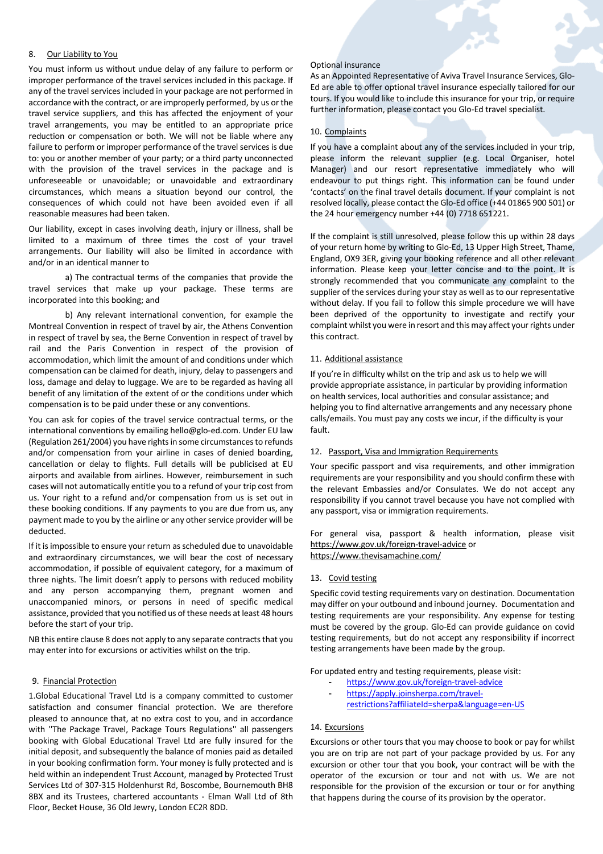#### 8. Our Liability to You

You must inform us without undue delay of any failure to perform or improper performance of the travel services included in this package. If any of the travel services included in your package are not performed in accordance with the contract, or are improperly performed, by us or the travel service suppliers, and this has affected the enjoyment of your travel arrangements, you may be entitled to an appropriate price reduction or compensation or both. We will not be liable where any failure to perform or improper performance of the travel services is due to: you or another member of your party; or a third party unconnected with the provision of the travel services in the package and is unforeseeable or unavoidable; or unavoidable and extraordinary circumstances, which means a situation beyond our control, the consequences of which could not have been avoided even if all reasonable measures had been taken.

Our liability, except in cases involving death, injury or illness, shall be limited to a maximum of three times the cost of your travel arrangements. Our liability will also be limited in accordance with and/or in an identical manner to

a) The contractual terms of the companies that provide the travel services that make up your package. These terms are incorporated into this booking; and

b) Any relevant international convention, for example the Montreal Convention in respect of travel by air, the Athens Convention in respect of travel by sea, the Berne Convention in respect of travel by rail and the Paris Convention in respect of the provision of accommodation, which limit the amount of and conditions under which compensation can be claimed for death, injury, delay to passengers and loss, damage and delay to luggage. We are to be regarded as having all benefit of any limitation of the extent of or the conditions under which compensation is to be paid under these or any conventions.

You can ask for copies of the travel service contractual terms, or the international conventions by emailing hello@glo-ed.com. Under EU law (Regulation 261/2004) you have rights in some circumstances to refunds and/or compensation from your airline in cases of denied boarding, cancellation or delay to flights. Full details will be publicised at EU airports and available from airlines. However, reimbursement in such cases will not automatically entitle you to a refund of your trip cost from us. Your right to a refund and/or compensation from us is set out in these booking conditions. If any payments to you are due from us, any payment made to you by the airline or any other service provider will be deducted.

If it is impossible to ensure your return as scheduled due to unavoidable and extraordinary circumstances, we will bear the cost of necessary accommodation, if possible of equivalent category, for a maximum of three nights. The limit doesn't apply to persons with reduced mobility and any person accompanying them, pregnant women and unaccompanied minors, or persons in need of specific medical assistance, provided that you notified us of these needs at least 48 hours before the start of your trip.

NB this entire clause 8 does not apply to any separate contracts that you may enter into for excursions or activities whilst on the trip.

#### 9. Financial Protection

1.Global Educational Travel Ltd is a company committed to customer satisfaction and consumer financial protection. We are therefore pleased to announce that, at no extra cost to you, and in accordance with ''The Package Travel, Package Tours Regulations'' all passengers booking with Global Educational Travel Ltd are fully insured for the initial deposit, and subsequently the balance of monies paid as detailed in your booking confirmation form. Your money is fully protected and is held within an independent Trust Account, managed by Protected Trust Services Ltd of 307-315 Holdenhurst Rd, Boscombe, Bournemouth BH8 8BX and its Trustees, chartered accountants - Elman Wall Ltd of 8th Floor, Becket House, 36 Old Jewry, London EC2R 8DD.

#### Optional insurance

As an Appointed Representative of Aviva Travel Insurance Services, Glo-Ed are able to offer optional travel insurance especially tailored for our tours. If you would like to include this insurance for your trip, or require further information, please contact you Glo-Ed travel specialist.

#### 10. Complaints

If you have a complaint about any of the services included in your trip, please inform the relevant supplier (e.g. Local Organiser, hotel Manager) and our resort representative immediately who will endeavour to put things right. This information can be found under 'contacts' on the final travel details document. If your complaint is not resolved locally, please contact the Glo-Ed office (+44 01865 900 501) or the 24 hour emergency number +44 (0) 7718 651221.

If the complaint is still unresolved, please follow this up within 28 days of your return home by writing to Glo-Ed, 13 Upper High Street, Thame, England, OX9 3ER, giving your booking reference and all other relevant information. Please keep your letter concise and to the point. It is strongly recommended that you communicate any complaint to the supplier of the services during your stay as well as to our representative without delay. If you fail to follow this simple procedure we will have been deprived of the opportunity to investigate and rectify your complaint whilst you were in resort and this may affect your rights under this contract.

#### 11. Additional assistance

If you're in difficulty whilst on the trip and ask us to help we will provide appropriate assistance, in particular by providing information on health services, local authorities and consular assistance; and helping you to find alternative arrangements and any necessary phone calls/emails. You must pay any costs we incur, if the difficulty is your fault.

#### 12. Passport, Visa and Immigration Requirements

Your specific passport and visa requirements, and other immigration requirements are your responsibility and you should confirm these with the relevant Embassies and/or Consulates. We do not accept any responsibility if you cannot travel because you have not complied with any passport, visa or immigration requirements.

For general visa, passport & health information, please visit https://www.gov.uk/foreign-travel-advice or https://www.thevisamachine.com/

#### 13. Covid testing

Specific covid testing requirements vary on destination. Documentation may differ on your outbound and inbound journey. Documentation and testing requirements are your responsibility. Any expense for testing must be covered by the group. Glo-Ed can provide guidance on covid testing requirements, but do not accept any responsibility if incorrect testing arrangements have been made by the group.

For updated entry and testing requirements, please visit:

- https://www.gov.uk/foreign-travel-advice
- https://apply.joinsherpa.com/travelrestrictions?affiliateId=sherpa&language=en-US

#### 14. Excursions

Excursions or other tours that you may choose to book or pay for whilst you are on trip are not part of your package provided by us. For any excursion or other tour that you book, your contract will be with the operator of the excursion or tour and not with us. We are not responsible for the provision of the excursion or tour or for anything that happens during the course of its provision by the operator.